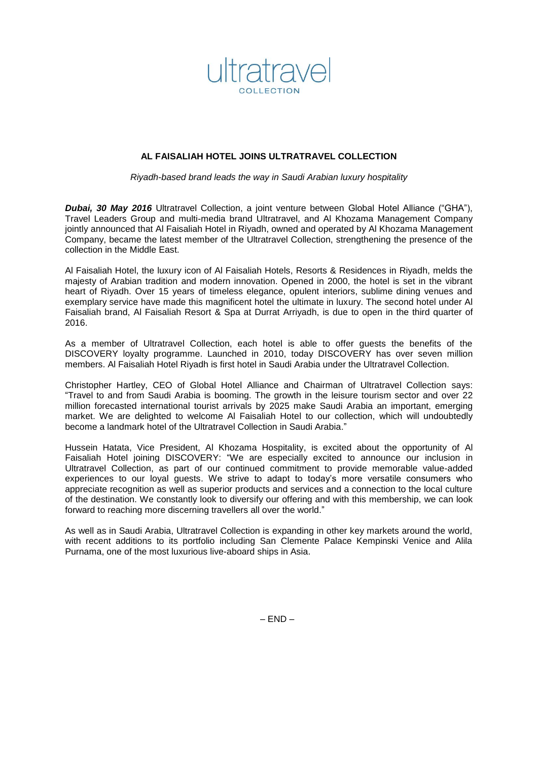

# **AL FAISALIAH HOTEL JOINS ULTRATRAVEL COLLECTION**

*Riyadh-based brand leads the way in Saudi Arabian luxury hospitality*

*Dubai, 30 May 2016* Ultratravel Collection, a joint venture between Global Hotel Alliance ("GHA"), Travel Leaders Group and multi-media brand Ultratravel, and Al Khozama Management Company jointly announced that Al Faisaliah Hotel in Riyadh, owned and operated by Al Khozama Management Company, became the latest member of the Ultratravel Collection, strengthening the presence of the collection in the Middle East.

Al Faisaliah Hotel, the luxury icon of Al Faisaliah Hotels, Resorts & Residences in Riyadh, melds the majesty of Arabian tradition and modern innovation. Opened in 2000, the hotel is set in the vibrant heart of Riyadh. Over 15 years of timeless elegance, opulent interiors, sublime dining venues and exemplary service have made this magnificent hotel the ultimate in luxury. The second hotel under Al Faisaliah brand, Al Faisaliah Resort & Spa at Durrat Arriyadh, is due to open in the third quarter of 2016.

As a member of Ultratravel Collection, each hotel is able to offer guests the benefits of the DISCOVERY loyalty programme. Launched in 2010, today DISCOVERY has over seven million members. Al Faisaliah Hotel Riyadh is first hotel in Saudi Arabia under the Ultratravel Collection.

Christopher Hartley, CEO of Global Hotel Alliance and Chairman of Ultratravel Collection says: "Travel to and from Saudi Arabia is booming. The growth in the leisure tourism sector and over 22 million forecasted international tourist arrivals by 2025 make Saudi Arabia an important, emerging market. We are delighted to welcome Al Faisaliah Hotel to our collection, which will undoubtedly become a landmark hotel of the Ultratravel Collection in Saudi Arabia."

Hussein Hatata, Vice President, Al Khozama Hospitality, is excited about the opportunity of Al Faisaliah Hotel joining DISCOVERY: "We are especially excited to announce our inclusion in Ultratravel Collection, as part of our continued commitment to provide memorable value-added experiences to our loyal guests. We strive to adapt to today's more versatile consumers who appreciate recognition as well as superior products and services and a connection to the local culture of the destination. We constantly look to diversify our offering and with this membership, we can look forward to reaching more discerning travellers all over the world."

As well as in Saudi Arabia, Ultratravel Collection is expanding in other key markets around the world, with recent additions to its portfolio including San Clemente Palace Kempinski Venice and Alila Purnama, one of the most luxurious live-aboard ships in Asia.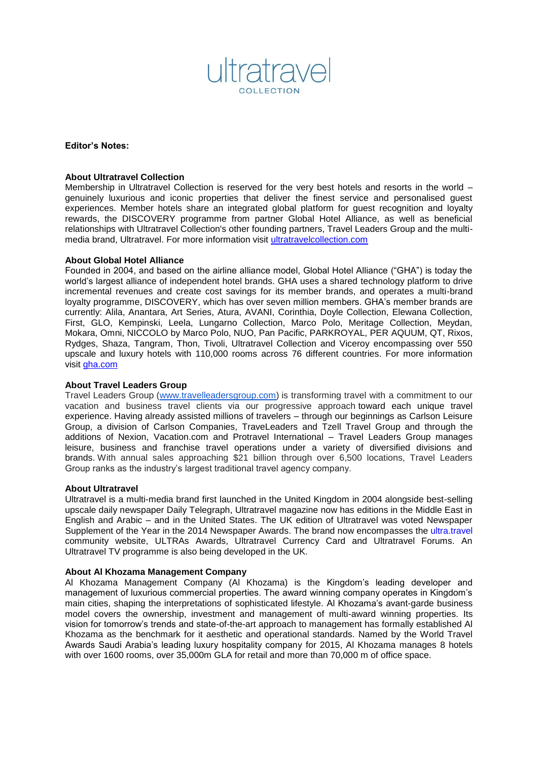

**Editor's Notes:**

### **About Ultratravel Collection**

Membership in Ultratravel Collection is reserved for the very best hotels and resorts in the world – genuinely luxurious and iconic properties that deliver the finest service and personalised guest experiences. Member hotels share an integrated global platform for guest recognition and loyalty rewards, the DISCOVERY programme from partner Global Hotel Alliance, as well as beneficial relationships with Ultratravel Collection's other founding partners, Travel Leaders Group and the multimedia brand, Ultratravel. For more information visit [ultratravelcollection.com](http://www.ultratravelcollection.com/)

# **About Global Hotel Alliance**

Founded in 2004, and based on the airline alliance model, Global Hotel Alliance ("GHA") is today the world's largest alliance of independent hotel brands. GHA uses a shared technology platform to drive incremental revenues and create cost savings for its member brands, and operates a multi-brand loyalty programme, DISCOVERY, which has over seven million members. GHA's member brands are currently: Alila, Anantara, Art Series, Atura, AVANI, Corinthia, Doyle Collection, Elewana Collection, First, GLO, Kempinski, Leela, Lungarno Collection, Marco Polo, Meritage Collection, Meydan, Mokara, Omni, NICCOLO by Marco Polo, NUO, Pan Pacific, PARKROYAL, PER AQUUM, QT, Rixos, Rydges, Shaza, Tangram, Thon, Tivoli, Ultratravel Collection and Viceroy encompassing over 550 upscale and luxury hotels with 110,000 rooms across 76 different countries. For more information visit [gha.com](http://www.gha.com/)

# **About Travel Leaders Group**

Travel Leaders Group [\(www.travelleadersgroup.com\)](http://www.travelleadersgroup.com/) is transforming travel with a commitment to our vacation and business travel clients via our progressive approach toward each unique travel experience. Having already assisted millions of travelers – through our beginnings as Carlson Leisure Group, a division of Carlson Companies, TraveLeaders and Tzell Travel Group and through the additions of Nexion, Vacation.com and Protravel International – Travel Leaders Group manages leisure, business and franchise travel operations under a variety of diversified divisions and brands. With annual sales approaching \$21 billion through over 6,500 locations, Travel Leaders Group ranks as the industry's largest traditional travel agency company.

### **About Ultratravel**

Ultratravel is a multi-media brand first launched in the United Kingdom in 2004 alongside best-selling upscale daily newspaper Daily Telegraph, Ultratravel magazine now has editions in the Middle East in English and Arabic – and in the United States. The UK edition of Ultratravel was voted Newspaper Supplement of the Year in the 2014 Newspaper Awards. The brand now encompasses the ultra.travel community website, ULTRAs Awards, Ultratravel Currency Card and Ultratravel Forums. An Ultratravel TV programme is also being developed in the UK.

### **About Al Khozama Management Company**

Al Khozama Management Company (Al Khozama) is the Kingdom's leading developer and management of luxurious commercial properties. The award winning company operates in Kingdom's main cities, shaping the interpretations of sophisticated lifestyle. Al Khozama's avant-garde business model covers the ownership, investment and management of multi-award winning properties. Its vision for tomorrow's trends and state-of-the-art approach to management has formally established Al Khozama as the benchmark for it aesthetic and operational standards. Named by the World Travel Awards Saudi Arabia's leading luxury hospitality company for 2015, Al Khozama manages 8 hotels with over 1600 rooms, over 35,000m GLA for retail and more than 70,000 m of office space.